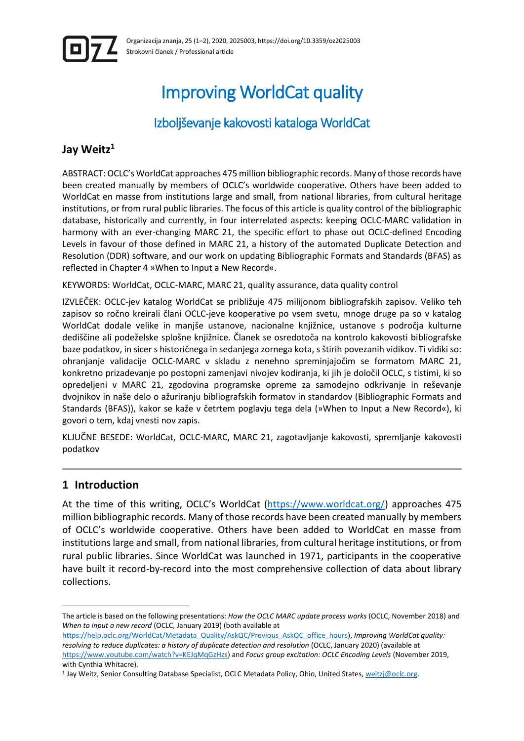

# Improving WorldCat quality

## Izboljševanje kakovosti kataloga WorldCat

## **Jay Weitz<sup>1</sup>**

ABSTRACT: OCLC's WorldCat approaches 475 million bibliographic records. Many of those records have been created manually by members of OCLC's worldwide cooperative. Others have been added to WorldCat en masse from institutions large and small, from national libraries, from cultural heritage institutions, or from rural public libraries. The focus of this article is quality control of the bibliographic database, historically and currently, in four interrelated aspects: keeping OCLC-MARC validation in harmony with an ever-changing MARC 21, the specific effort to phase out OCLC-defined Encoding Levels in favour of those defined in MARC 21, a history of the automated Duplicate Detection and Resolution (DDR) software, and our work on updating Bibliographic Formats and Standards (BFAS) as reflected in Chapter 4 »When to Input a New Record«.

KEYWORDS: WorldCat, OCLC-MARC, MARC 21, quality assurance, data quality control

IZVLEČEK: OCLC-jev katalog WorldCat se približuje 475 milijonom bibliografskih zapisov. Veliko teh zapisov so ročno kreirali člani OCLC-jeve kooperative po vsem svetu, mnoge druge pa so v katalog WorldCat dodale velike in manjše ustanove, nacionalne knjižnice, ustanove s področja kulturne dediščine ali podeželske splošne knjižnice. Članek se osredotoča na kontrolo kakovosti bibliografske baze podatkov, in sicer s historičnega in sedanjega zornega kota, s štirih povezanih vidikov. Ti vidiki so: ohranjanje validacije OCLC-MARC v skladu z nenehno spreminjajočim se formatom MARC 21, konkretno prizadevanje po postopni zamenjavi nivojev kodiranja, ki jih je določil OCLC, s tistimi, ki so opredeljeni v MARC 21, zgodovina programske opreme za samodejno odkrivanje in reševanje dvojnikov in naše delo o ažuriranju bibliografskih formatov in standardov (Bibliographic Formats and Standards (BFAS)), kakor se kaže v četrtem poglavju tega dela (»When to Input a New Record«), ki govori o tem, kdaj vnesti nov zapis.

KLJUČNE BESEDE: WorldCat, OCLC-MARC, MARC 21, zagotavljanje kakovosti, spremljanje kakovosti podatkov

#### **1 Introduction**

At the time of this writing, OCLC's WorldCat ([https://www.worldcat.org/\)](https://www.worldcat.org/) approaches 475 million bibliographic records. Many of those records have been created manually by members of OCLC's worldwide cooperative. Others have been added to WorldCat en masse from institutions large and small, from national libraries, from cultural heritage institutions, or from rural public libraries. Since WorldCat was launched in 1971, participants in the cooperative have built it record-by-record into the most comprehensive collection of data about library collections.

The article is based on the following presentations: *How the OCLC MARC update process works* (OCLC, November 2018) and *When to input a new record* (OCLC, January 2019) (both available at

[https://help.oclc.org/WorldCat/Metadata\\_Quality/AskQC/Previous\\_AskQC\\_office\\_hours\)](https://help.oclc.org/WorldCat/Metadata_Quality/AskQC/Previous_AskQC_office_hours), *Improving WorldCat quality: resolving to reduce duplicates: a history of duplicate detection and resolution* (OCLC, January 2020) (available at [https://www.youtube.com/watch?v=KEJqMqGzHzs\)](https://www.youtube.com/watch?v=KEJqMqGzHzs) and *Focus group excitation: OCLC Encoding Levels* (November 2019, with Cynthia Whitacre).

<sup>&</sup>lt;sup>1</sup> Jay Weitz, Senior Consulting Database Specialist, OCLC Metadata Policy, Ohio, United States[, weitzj@oclc.org.](mailto:weitzj@oclc.org)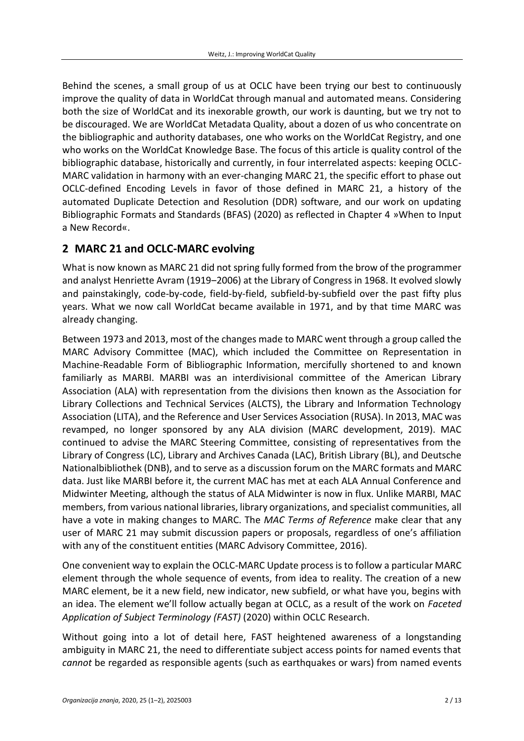Behind the scenes, a small group of us at OCLC have been trying our best to continuously improve the quality of data in WorldCat through manual and automated means. Considering both the size of WorldCat and its inexorable growth, our work is daunting, but we try not to be discouraged. We are WorldCat Metadata Quality, about a dozen of us who concentrate on the bibliographic and authority databases, one who works on the WorldCat Registry, and one who works on the WorldCat Knowledge Base. The focus of this article is quality control of the bibliographic database, historically and currently, in four interrelated aspects: keeping OCLC-MARC validation in harmony with an ever-changing MARC 21, the specific effort to phase out OCLC-defined Encoding Levels in favor of those defined in MARC 21, a history of the automated Duplicate Detection and Resolution (DDR) software, and our work on updating Bibliographic Formats and Standards (BFAS) (2020) as reflected in Chapter 4 »When to Input a New Record«.

## **2 MARC 21 and OCLC-MARC evolving**

What is now known as MARC 21 did not spring fully formed from the brow of the programmer and analyst Henriette Avram (1919–2006) at the Library of Congress in 1968. It evolved slowly and painstakingly, code-by-code, field-by-field, subfield-by-subfield over the past fifty plus years. What we now call WorldCat became available in 1971, and by that time MARC was already changing.

Between 1973 and 2013, most of the changes made to MARC went through a group called the MARC Advisory Committee (MAC), which included the Committee on Representation in Machine-Readable Form of Bibliographic Information, mercifully shortened to and known familiarly as MARBI. MARBI was an interdivisional committee of the American Library Association (ALA) with representation from the divisions then known as the Association for Library Collections and Technical Services (ALCTS), the Library and Information Technology Association (LITA), and the Reference and User Services Association (RUSA). In 2013, MAC was revamped, no longer sponsored by any ALA division (MARC development, 2019). MAC continued to advise the MARC Steering Committee, consisting of representatives from the Library of Congress (LC), Library and Archives Canada (LAC), British Library (BL), and Deutsche Nationalbibliothek (DNB), and to serve as a discussion forum on the MARC formats and MARC data. Just like MARBI before it, the current MAC has met at each ALA Annual Conference and Midwinter Meeting, although the status of ALA Midwinter is now in flux. Unlike MARBI, MAC members, from various national libraries, library organizations, and specialist communities, all have a vote in making changes to MARC. The *MAC Terms of Reference* make clear that any user of MARC 21 may submit discussion papers or proposals, regardless of one's affiliation with any of the constituent entities (MARC Advisory Committee, 2016).

One convenient way to explain the OCLC-MARC Update process is to follow a particular MARC element through the whole sequence of events, from idea to reality. The creation of a new MARC element, be it a new field, new indicator, new subfield, or what have you, begins with an idea. The element we'll follow actually began at OCLC, as a result of the work on *Faceted Application of Subject Terminology (FAST)* (2020) within OCLC Research.

Without going into a lot of detail here, FAST heightened awareness of a longstanding ambiguity in MARC 21, the need to differentiate subject access points for named events that *cannot* be regarded as responsible agents (such as earthquakes or wars) from named events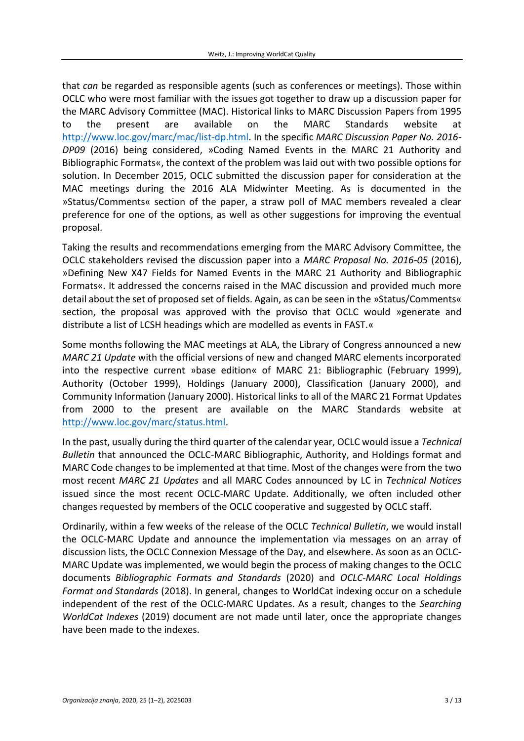that *can* be regarded as responsible agents (such as conferences or meetings). Those within OCLC who were most familiar with the issues got together to draw up a discussion paper for the MARC Advisory Committee (MAC). Historical links to MARC Discussion Papers from 1995 to the present are available on the MARC Standards website at [http://www.loc.gov/marc/mac/list-dp.html.](http://www.loc.gov/marc/mac/list-dp.html) In the specific *MARC Discussion Paper No. 2016- DP09* (2016) being considered, »Coding Named Events in the MARC 21 Authority and Bibliographic Formats«, the context of the problem was laid out with two possible options for solution. In December 2015, OCLC submitted the discussion paper for consideration at the MAC meetings during the 2016 ALA Midwinter Meeting. As is documented in the »Status/Comments« section of the paper, a straw poll of MAC members revealed a clear preference for one of the options, as well as other suggestions for improving the eventual proposal.

Taking the results and recommendations emerging from the MARC Advisory Committee, the OCLC stakeholders revised the discussion paper into a *MARC Proposal No. 2016-05* (2016), »Defining New X47 Fields for Named Events in the MARC 21 Authority and Bibliographic Formats«. It addressed the concerns raised in the MAC discussion and provided much more detail about the set of proposed set of fields. Again, as can be seen in the »Status/Comments« section, the proposal was approved with the proviso that OCLC would »generate and distribute a list of LCSH headings which are modelled as events in FAST.«

Some months following the MAC meetings at ALA, the Library of Congress announced a new *MARC 21 Update* with the official versions of new and changed MARC elements incorporated into the respective current »base edition« of MARC 21: Bibliographic (February 1999), Authority (October 1999), Holdings (January 2000), Classification (January 2000), and Community Information (January 2000). Historical links to all of the MARC 21 Format Updates from 2000 to the present are available on the MARC Standards website at [http://www.loc.gov/marc/status.html.](http://www.loc.gov/marc/status.html)

In the past, usually during the third quarter of the calendar year, OCLC would issue a *Technical Bulletin* that announced the OCLC-MARC Bibliographic, Authority, and Holdings format and MARC Code changes to be implemented at that time. Most of the changes were from the two most recent *MARC 21 Updates* and all MARC Codes announced by LC in *Technical Notices* issued since the most recent OCLC-MARC Update. Additionally, we often included other changes requested by members of the OCLC cooperative and suggested by OCLC staff.

Ordinarily, within a few weeks of the release of the OCLC *Technical Bulletin*, we would install the OCLC-MARC Update and announce the implementation via messages on an array of discussion lists, the OCLC Connexion Message of the Day, and elsewhere. As soon as an OCLC-MARC Update was implemented, we would begin the process of making changes to the OCLC documents *Bibliographic Formats and Standards* (2020) and *OCLC-MARC Local Holdings Format and Standards* (2018). In general, changes to WorldCat indexing occur on a schedule independent of the rest of the OCLC-MARC Updates. As a result, changes to the *Searching WorldCat Indexes* (2019) document are not made until later, once the appropriate changes have been made to the indexes.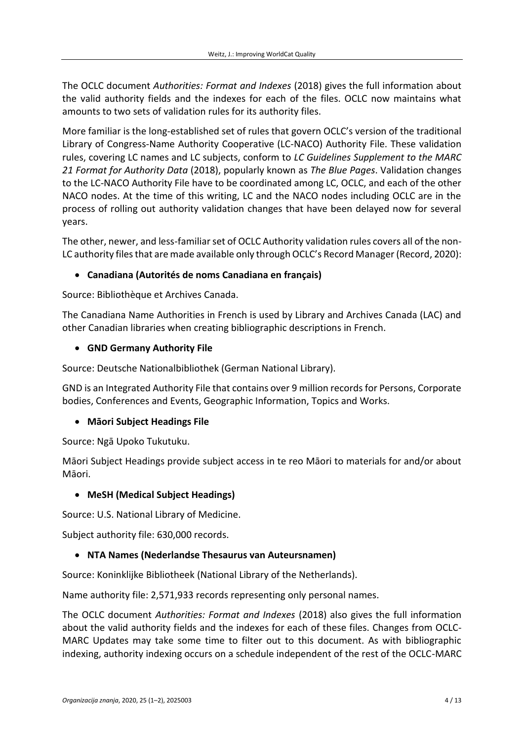The OCLC document *Authorities: Format and Indexes* (2018) gives the full information about the valid authority fields and the indexes for each of the files. OCLC now maintains what amounts to two sets of validation rules for its authority files.

More familiar is the long-established set of rules that govern OCLC's version of the traditional Library of Congress-Name Authority Cooperative (LC-NACO) Authority File. These validation rules, covering LC names and LC subjects, conform to *LC Guidelines Supplement to the MARC 21 Format for Authority Data* (2018), popularly known as *The Blue Pages*. Validation changes to the LC-NACO Authority File have to be coordinated among LC, OCLC, and each of the other NACO nodes. At the time of this writing, LC and the NACO nodes including OCLC are in the process of rolling out authority validation changes that have been delayed now for several years.

The other, newer, and less-familiar set of OCLC Authority validation rules covers all of the non-LC authority files that are made available only through OCLC's Record Manager (Record, 2020):

#### • **Canadiana (Autorités de noms Canadiana en français)**

Source: Bibliothèque et Archives Canada.

The Canadiana Name Authorities in French is used by Library and Archives Canada (LAC) and other Canadian libraries when creating bibliographic descriptions in French.

#### • **GND Germany Authority File**

Source: Deutsche Nationalbibliothek (German National Library).

GND is an Integrated Authority File that contains over 9 million records for Persons, Corporate bodies, Conferences and Events, Geographic Information, Topics and Works.

## • **Māori Subject Headings File**

Source: Ngā Upoko Tukutuku.

Māori Subject Headings provide subject access in te reo Māori to materials for and/or about Māori.

#### • **MeSH (Medical Subject Headings)**

Source: U.S. National Library of Medicine.

Subject authority file: 630,000 records.

#### • **NTA Names (Nederlandse Thesaurus van Auteursnamen)**

Source: Koninklijke Bibliotheek (National Library of the Netherlands).

Name authority file: 2,571,933 records representing only personal names.

The OCLC document *Authorities: Format and Indexes* (2018) also gives the full information about the valid authority fields and the indexes for each of these files. Changes from OCLC-MARC Updates may take some time to filter out to this document. As with bibliographic indexing, authority indexing occurs on a schedule independent of the rest of the OCLC-MARC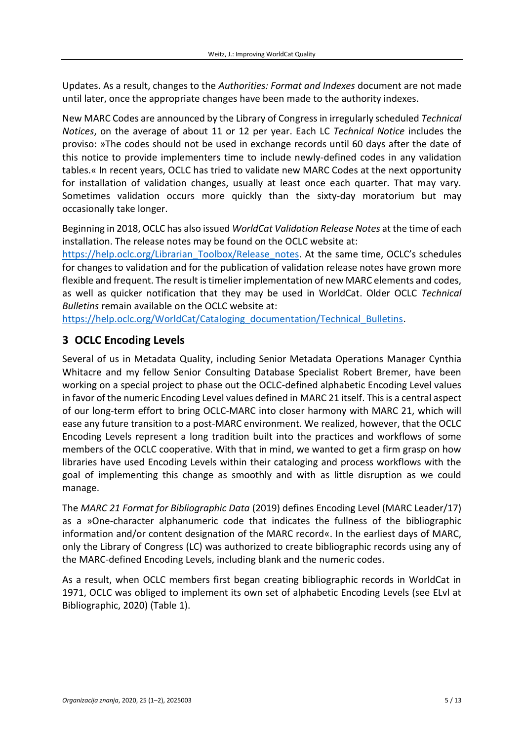Updates. As a result, changes to the *Authorities: Format and Indexes* document are not made until later, once the appropriate changes have been made to the authority indexes.

New MARC Codes are announced by the Library of Congress in irregularly scheduled *Technical Notices*, on the average of about 11 or 12 per year. Each LC *Technical Notice* includes the proviso: »The codes should not be used in exchange records until 60 days after the date of this notice to provide implementers time to include newly-defined codes in any validation tables.« In recent years, OCLC has tried to validate new MARC Codes at the next opportunity for installation of validation changes, usually at least once each quarter. That may vary. Sometimes validation occurs more quickly than the sixty-day moratorium but may occasionally take longer.

Beginning in 2018, OCLC has also issued *WorldCat Validation Release Notes* at the time of each installation. The release notes may be found on the OCLC website at:

[https://help.oclc.org/Librarian\\_Toolbox/Release\\_notes](https://help.oclc.org/Librarian_Toolbox/Release_notes). At the same time, OCLC's schedules for changes to validation and for the publication of validation release notes have grown more flexible and frequent. The result is timelier implementation of new MARC elements and codes, as well as quicker notification that they may be used in WorldCat. Older OCLC *Technical Bulletins* remain available on the OCLC website at:

[https://help.oclc.org/WorldCat/Cataloging\\_documentation/Technical\\_Bulletins.](https://help.oclc.org/WorldCat/Cataloging_documentation/Technical_Bulletins)

## **3 OCLC Encoding Levels**

Several of us in Metadata Quality, including Senior Metadata Operations Manager Cynthia Whitacre and my fellow Senior Consulting Database Specialist Robert Bremer, have been working on a special project to phase out the OCLC-defined alphabetic Encoding Level values in favor of the numeric Encoding Level values defined in MARC 21 itself. This is a central aspect of our long-term effort to bring OCLC-MARC into closer harmony with MARC 21, which will ease any future transition to a post-MARC environment. We realized, however, that the OCLC Encoding Levels represent a long tradition built into the practices and workflows of some members of the OCLC cooperative. With that in mind, we wanted to get a firm grasp on how libraries have used Encoding Levels within their cataloging and process workflows with the goal of implementing this change as smoothly and with as little disruption as we could manage.

The *MARC 21 Format for Bibliographic Data* (2019) defines Encoding Level (MARC Leader/17) as a »One-character alphanumeric code that indicates the fullness of the bibliographic information and/or content designation of the MARC record«. In the earliest days of MARC, only the Library of Congress (LC) was authorized to create bibliographic records using any of the MARC-defined Encoding Levels, including blank and the numeric codes.

As a result, when OCLC members first began creating bibliographic records in WorldCat in 1971, OCLC was obliged to implement its own set of alphabetic Encoding Levels (see ELvl at Bibliographic, 2020) (Table 1).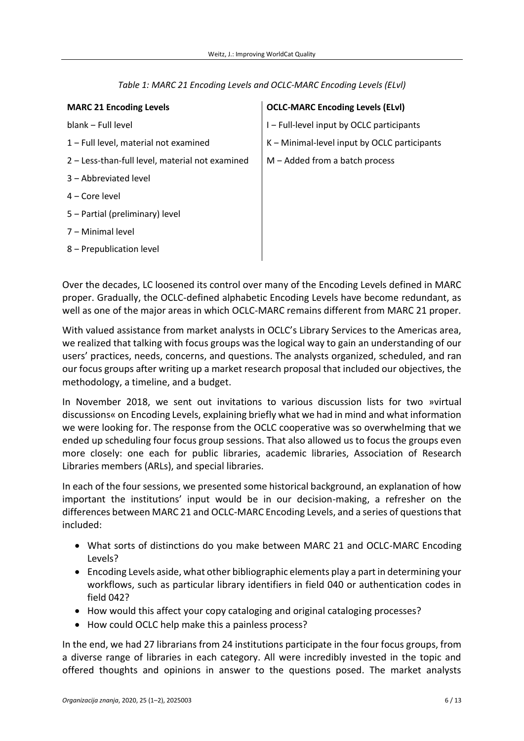| <b>MARC 21 Encoding Levels</b>                  | <b>OCLC-MARC Encoding Levels (ELvI)</b>      |
|-------------------------------------------------|----------------------------------------------|
| blank – Full level                              | I-Full-level input by OCLC participants      |
| 1 – Full level, material not examined           | K - Minimal-level input by OCLC participants |
| 2 - Less-than-full level, material not examined | $M -$ Added from a batch process             |
| 3 - Abbreviated level                           |                                              |
| $4$ – Core level                                |                                              |
| 5 – Partial (preliminary) level                 |                                              |
| 7 - Minimal level                               |                                              |
| 8 - Prepublication level                        |                                              |

*Table 1: MARC 21 Encoding Levels and OCLC-MARC Encoding Levels (ELvl)*

Over the decades, LC loosened its control over many of the Encoding Levels defined in MARC proper. Gradually, the OCLC-defined alphabetic Encoding Levels have become redundant, as well as one of the major areas in which OCLC-MARC remains different from MARC 21 proper.

With valued assistance from market analysts in OCLC's Library Services to the Americas area, we realized that talking with focus groups was the logical way to gain an understanding of our users' practices, needs, concerns, and questions. The analysts organized, scheduled, and ran our focus groups after writing up a market research proposal that included our objectives, the methodology, a timeline, and a budget.

In November 2018, we sent out invitations to various discussion lists for two »virtual discussions« on Encoding Levels, explaining briefly what we had in mind and what information we were looking for. The response from the OCLC cooperative was so overwhelming that we ended up scheduling four focus group sessions. That also allowed us to focus the groups even more closely: one each for public libraries, academic libraries, Association of Research Libraries members (ARLs), and special libraries.

In each of the four sessions, we presented some historical background, an explanation of how important the institutions' input would be in our decision-making, a refresher on the differences between MARC 21 and OCLC-MARC Encoding Levels, and a series of questions that included:

- What sorts of distinctions do you make between MARC 21 and OCLC-MARC Encoding Levels?
- Encoding Levels aside, what other bibliographic elements play a part in determining your workflows, such as particular library identifiers in field 040 or authentication codes in field 042?
- How would this affect your copy cataloging and original cataloging processes?
- How could OCLC help make this a painless process?

In the end, we had 27 librarians from 24 institutions participate in the four focus groups, from a diverse range of libraries in each category. All were incredibly invested in the topic and offered thoughts and opinions in answer to the questions posed. The market analysts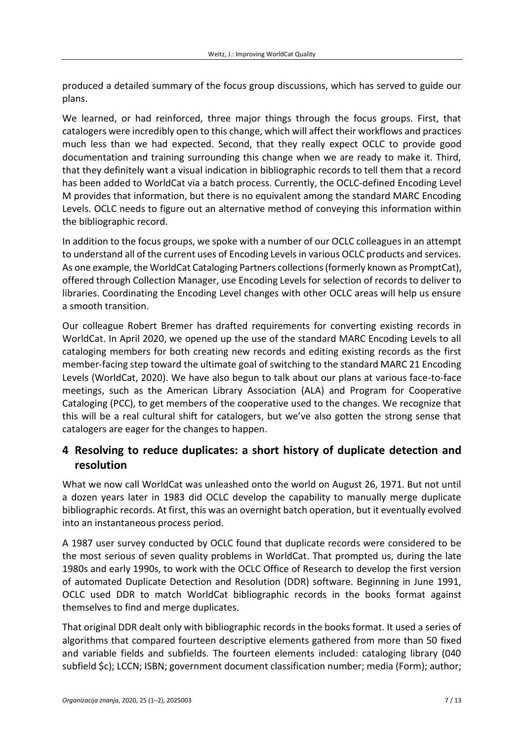produced a detailed summary of the focus group discussions, which has served to guide our plans.

We learned, or had reinforced, three major things through the focus groups. First, that catalogers were incredibly open to this change, which will affect their workflows and practices much less than we had expected. Second, that they really expect OCLC to provide good documentation and training surrounding this change when we are ready to make it. Third, that they definitely want a visual indication in bibliographic records to tell them that a record has been added to WorldCat via a batch process. Currently, the OCLC-defined Encoding Level M provides that information, but there is no equivalent among the standard MARC Encoding Levels. OCLC needs to figure out an alternative method of conveying this information within the bibliographic record.

In addition to the focus groups, we spoke with a number of our OCLC colleagues in an attempt to understand all of the current uses of Encoding Levels in various OCLC products and services. As one example, the WorldCat Cataloging Partners collections (formerly known as PromptCat), offered through Collection Manager, use Encoding Levels for selection of records to deliver to libraries. Coordinating the Encoding Level changes with other OCLC areas will help us ensure a smooth transition.

Our colleague Robert Bremer has drafted requirements for converting existing records in WorldCat. In April 2020, we opened up the use of the standard MARC Encoding Levels to all cataloging members for both creating new records and editing existing records as the first member-facing step toward the ultimate goal of switching to the standard MARC 21 Encoding Levels (WorldCat, 2020). We have also begun to talk about our plans at various face-to-face meetings, such as the American Library Association (ALA) and Program for Cooperative Cataloging (PCC), to get members of the cooperative used to the changes. We recognize that this will be a real cultural shift for catalogers, but we've also gotten the strong sense that catalogers are eager for the changes to happen.

## **4 Resolving to reduce duplicates: a short history of duplicate detection and resolution**

What we now call WorldCat was unleashed onto the world on August 26, 1971. But not until a dozen years later in 1983 did OCLC develop the capability to manually merge duplicate bibliographic records. At first, this was an overnight batch operation, but it eventually evolved into an instantaneous process period.

A 1987 user survey conducted by OCLC found that duplicate records were considered to be the most serious of seven quality problems in WorldCat. That prompted us, during the late 1980s and early 1990s, to work with the OCLC Office of Research to develop the first version of automated Duplicate Detection and Resolution (DDR) software. Beginning in June 1991, OCLC used DDR to match WorldCat bibliographic records in the books format against themselves to find and merge duplicates.

That original DDR dealt only with bibliographic records in the books format. It used a series of algorithms that compared fourteen descriptive elements gathered from more than 50 fixed and variable fields and subfields. The fourteen elements included: cataloging library (040 subfield \$c); LCCN; ISBN; government document classification number; media (Form); author;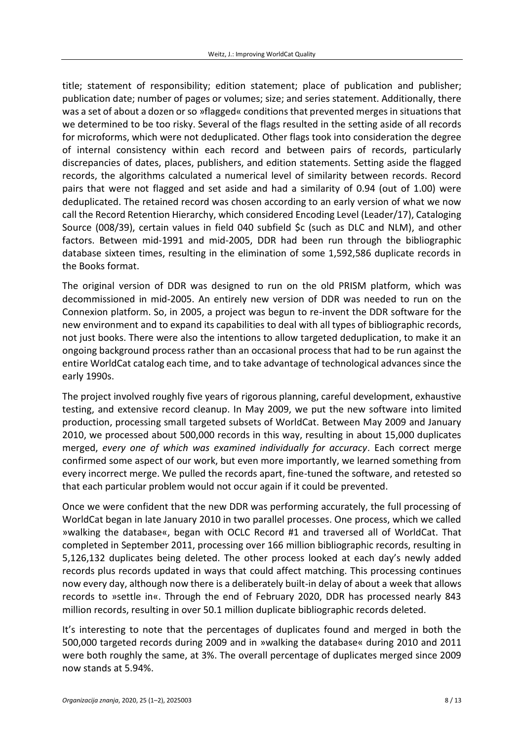title; statement of responsibility; edition statement; place of publication and publisher; publication date; number of pages or volumes; size; and series statement. Additionally, there was a set of about a dozen or so »flagged« conditions that prevented merges in situations that we determined to be too risky. Several of the flags resulted in the setting aside of all records for microforms, which were not deduplicated. Other flags took into consideration the degree of internal consistency within each record and between pairs of records, particularly discrepancies of dates, places, publishers, and edition statements. Setting aside the flagged records, the algorithms calculated a numerical level of similarity between records. Record pairs that were not flagged and set aside and had a similarity of 0.94 (out of 1.00) were deduplicated. The retained record was chosen according to an early version of what we now call the Record Retention Hierarchy, which considered Encoding Level (Leader/17), Cataloging Source (008/39), certain values in field 040 subfield \$c (such as DLC and NLM), and other factors. Between mid-1991 and mid-2005, DDR had been run through the bibliographic database sixteen times, resulting in the elimination of some 1,592,586 duplicate records in the Books format.

The original version of DDR was designed to run on the old PRISM platform, which was decommissioned in mid-2005. An entirely new version of DDR was needed to run on the Connexion platform. So, in 2005, a project was begun to re-invent the DDR software for the new environment and to expand its capabilities to deal with all types of bibliographic records, not just books. There were also the intentions to allow targeted deduplication, to make it an ongoing background process rather than an occasional process that had to be run against the entire WorldCat catalog each time, and to take advantage of technological advances since the early 1990s.

The project involved roughly five years of rigorous planning, careful development, exhaustive testing, and extensive record cleanup. In May 2009, we put the new software into limited production, processing small targeted subsets of WorldCat. Between May 2009 and January 2010, we processed about 500,000 records in this way, resulting in about 15,000 duplicates merged, *every one of which was examined individually for accuracy*. Each correct merge confirmed some aspect of our work, but even more importantly, we learned something from every incorrect merge. We pulled the records apart, fine-tuned the software, and retested so that each particular problem would not occur again if it could be prevented.

Once we were confident that the new DDR was performing accurately, the full processing of WorldCat began in late January 2010 in two parallel processes. One process, which we called »walking the database«, began with OCLC Record #1 and traversed all of WorldCat. That completed in September 2011, processing over 166 million bibliographic records, resulting in 5,126,132 duplicates being deleted. The other process looked at each day's newly added records plus records updated in ways that could affect matching. This processing continues now every day, although now there is a deliberately built-in delay of about a week that allows records to »settle in«. Through the end of February 2020, DDR has processed nearly 843 million records, resulting in over 50.1 million duplicate bibliographic records deleted.

It's interesting to note that the percentages of duplicates found and merged in both the 500,000 targeted records during 2009 and in »walking the database« during 2010 and 2011 were both roughly the same, at 3%. The overall percentage of duplicates merged since 2009 now stands at 5.94%.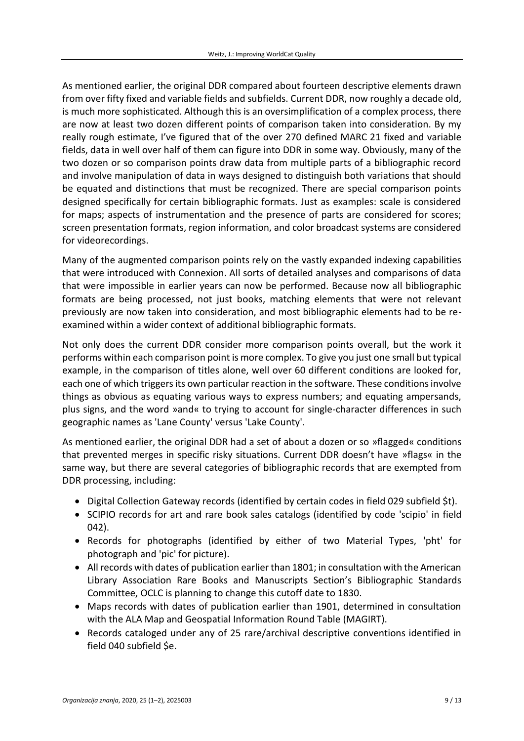As mentioned earlier, the original DDR compared about fourteen descriptive elements drawn from over fifty fixed and variable fields and subfields. Current DDR, now roughly a decade old, is much more sophisticated. Although this is an oversimplification of a complex process, there are now at least two dozen different points of comparison taken into consideration. By my really rough estimate, I've figured that of the over 270 defined MARC 21 fixed and variable fields, data in well over half of them can figure into DDR in some way. Obviously, many of the two dozen or so comparison points draw data from multiple parts of a bibliographic record and involve manipulation of data in ways designed to distinguish both variations that should be equated and distinctions that must be recognized. There are special comparison points designed specifically for certain bibliographic formats. Just as examples: scale is considered for maps; aspects of instrumentation and the presence of parts are considered for scores; screen presentation formats, region information, and color broadcast systems are considered for videorecordings.

Many of the augmented comparison points rely on the vastly expanded indexing capabilities that were introduced with Connexion. All sorts of detailed analyses and comparisons of data that were impossible in earlier years can now be performed. Because now all bibliographic formats are being processed, not just books, matching elements that were not relevant previously are now taken into consideration, and most bibliographic elements had to be reexamined within a wider context of additional bibliographic formats.

Not only does the current DDR consider more comparison points overall, but the work it performs within each comparison point is more complex. To give you just one small but typical example, in the comparison of titles alone, well over 60 different conditions are looked for, each one of which triggers its own particular reaction in the software. These conditions involve things as obvious as equating various ways to express numbers; and equating ampersands, plus signs, and the word »and« to trying to account for single-character differences in such geographic names as 'Lane County' versus 'Lake County'.

As mentioned earlier, the original DDR had a set of about a dozen or so »flagged« conditions that prevented merges in specific risky situations. Current DDR doesn't have »flags« in the same way, but there are several categories of bibliographic records that are exempted from DDR processing, including:

- Digital Collection Gateway records (identified by certain codes in field 029 subfield \$t).
- SCIPIO records for art and rare book sales catalogs (identified by code 'scipio' in field 042).
- Records for photographs (identified by either of two Material Types, 'pht' for photograph and 'pic' for picture).
- All records with dates of publication earlier than 1801; in consultation with the American Library Association Rare Books and Manuscripts Section's Bibliographic Standards Committee, OCLC is planning to change this cutoff date to 1830.
- Maps records with dates of publication earlier than 1901, determined in consultation with the ALA Map and Geospatial Information Round Table (MAGIRT).
- Records cataloged under any of 25 rare/archival descriptive conventions identified in field 040 subfield \$e.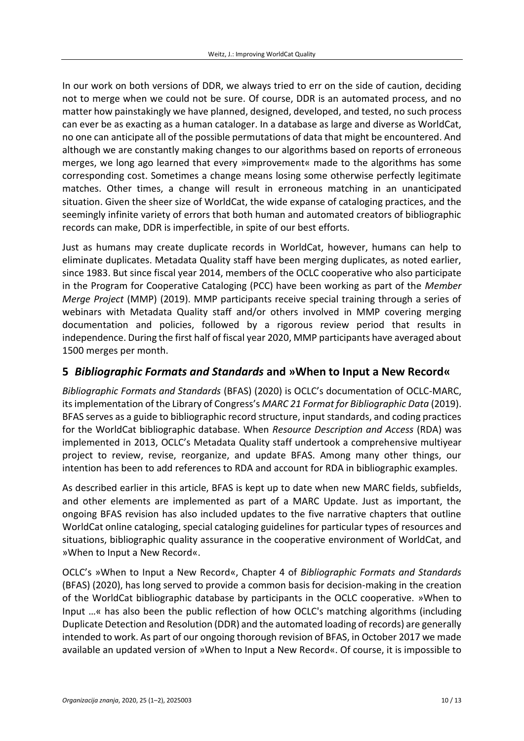In our work on both versions of DDR, we always tried to err on the side of caution, deciding not to merge when we could not be sure. Of course, DDR is an automated process, and no matter how painstakingly we have planned, designed, developed, and tested, no such process can ever be as exacting as a human cataloger. In a database as large and diverse as WorldCat, no one can anticipate all of the possible permutations of data that might be encountered. And although we are constantly making changes to our algorithms based on reports of erroneous merges, we long ago learned that every »improvement« made to the algorithms has some corresponding cost. Sometimes a change means losing some otherwise perfectly legitimate matches. Other times, a change will result in erroneous matching in an unanticipated situation. Given the sheer size of WorldCat, the wide expanse of cataloging practices, and the seemingly infinite variety of errors that both human and automated creators of bibliographic records can make, DDR is imperfectible, in spite of our best efforts.

Just as humans may create duplicate records in WorldCat, however, humans can help to eliminate duplicates. Metadata Quality staff have been merging duplicates, as noted earlier, since 1983. But since fiscal year 2014, members of the OCLC cooperative who also participate in the Program for Cooperative Cataloging (PCC) have been working as part of the *Member Merge Project* (MMP) (2019). MMP participants receive special training through a series of webinars with Metadata Quality staff and/or others involved in MMP covering merging documentation and policies, followed by a rigorous review period that results in independence. During the first half of fiscal year 2020, MMP participants have averaged about 1500 merges per month.

#### **5** *Bibliographic Formats and Standards* **and »When to Input a New Record«**

*Bibliographic Formats and Standards* (BFAS) (2020) is OCLC's documentation of OCLC-MARC, its implementation of the Library of Congress's *MARC 21 Format for Bibliographic Data* (2019). BFAS serves as a guide to bibliographic record structure, input standards, and coding practices for the WorldCat bibliographic database. When *Resource Description and Access* (RDA) was implemented in 2013, OCLC's Metadata Quality staff undertook a comprehensive multiyear project to review, revise, reorganize, and update BFAS. Among many other things, our intention has been to add references to RDA and account for RDA in bibliographic examples.

As described earlier in this article, BFAS is kept up to date when new MARC fields, subfields, and other elements are implemented as part of a MARC Update. Just as important, the ongoing BFAS revision has also included updates to the five narrative chapters that outline WorldCat online cataloging, special cataloging guidelines for particular types of resources and situations, bibliographic quality assurance in the cooperative environment of WorldCat, and »When to Input a New Record«.

OCLC's »When to Input a New Record«, Chapter 4 of *Bibliographic Formats and Standards* (BFAS) (2020), has long served to provide a common basis for decision-making in the creation of the WorldCat bibliographic database by participants in the OCLC cooperative. »When to Input …« has also been the public reflection of how OCLC's matching algorithms (including Duplicate Detection and Resolution (DDR) and the automated loading of records) are generally intended to work. As part of our ongoing thorough revision of BFAS, in October 2017 we made available an updated version of »When to Input a New Record«. Of course, it is impossible to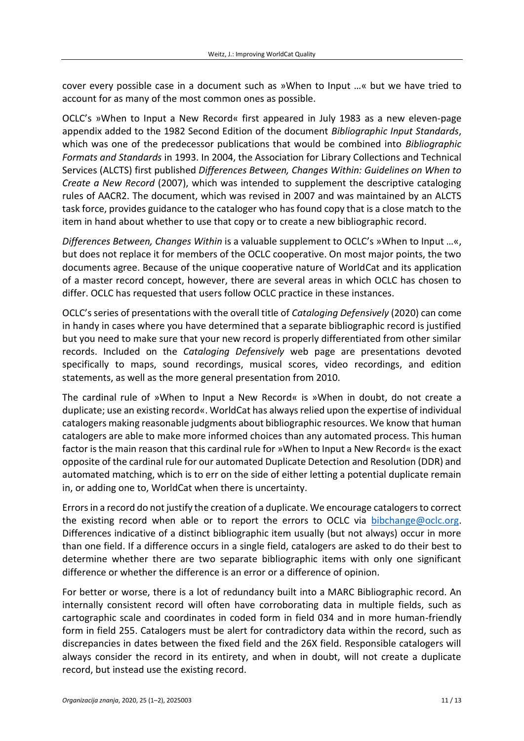cover every possible case in a document such as »When to Input …« but we have tried to account for as many of the most common ones as possible.

OCLC's »When to Input a New Record« first appeared in July 1983 as a new eleven-page appendix added to the 1982 Second Edition of the document *Bibliographic Input Standards*, which was one of the predecessor publications that would be combined into *Bibliographic Formats and Standards* in 1993. In 2004, the Association for Library Collections and Technical Services (ALCTS) first published *Differences Between, Changes Within: Guidelines on When to Create a New Record* (2007), which was intended to supplement the descriptive cataloging rules of AACR2. The document, which was revised in 2007 and was maintained by an ALCTS task force, provides guidance to the cataloger who has found copy that is a close match to the item in hand about whether to use that copy or to create a new bibliographic record.

*Differences Between, Changes Within* is a valuable supplement to OCLC's »When to Input …«, but does not replace it for members of the OCLC cooperative. On most major points, the two documents agree. Because of the unique cooperative nature of WorldCat and its application of a master record concept, however, there are several areas in which OCLC has chosen to differ. OCLC has requested that users follow OCLC practice in these instances.

OCLC's series of presentations with the overall title of *Cataloging Defensively* (2020) can come in handy in cases where you have determined that a separate bibliographic record is justified but you need to make sure that your new record is properly differentiated from other similar records. Included on the *Cataloging Defensively* web page are presentations devoted specifically to maps, sound recordings, musical scores, video recordings, and edition statements, as well as the more general presentation from 2010.

The cardinal rule of »When to Input a New Record« is »When in doubt, do not create a duplicate; use an existing record«. WorldCat has always relied upon the expertise of individual catalogers making reasonable judgments about bibliographic resources. We know that human catalogers are able to make more informed choices than any automated process. This human factor is the main reason that this cardinal rule for »When to Input a New Record« is the exact opposite of the cardinal rule for our automated Duplicate Detection and Resolution (DDR) and automated matching, which is to err on the side of either letting a potential duplicate remain in, or adding one to, WorldCat when there is uncertainty.

Errors in a record do not justify the creation of a duplicate. We encourage catalogers to correct the existing record when able or to report the errors to OCLC via [bibchange@oclc.org.](mailto:bibchange@oclc.org) Differences indicative of a distinct bibliographic item usually (but not always) occur in more than one field. If a difference occurs in a single field, catalogers are asked to do their best to determine whether there are two separate bibliographic items with only one significant difference or whether the difference is an error or a difference of opinion.

For better or worse, there is a lot of redundancy built into a MARC Bibliographic record. An internally consistent record will often have corroborating data in multiple fields, such as cartographic scale and coordinates in coded form in field 034 and in more human-friendly form in field 255. Catalogers must be alert for contradictory data within the record, such as discrepancies in dates between the fixed field and the 26X field. Responsible catalogers will always consider the record in its entirety, and when in doubt, will not create a duplicate record, but instead use the existing record.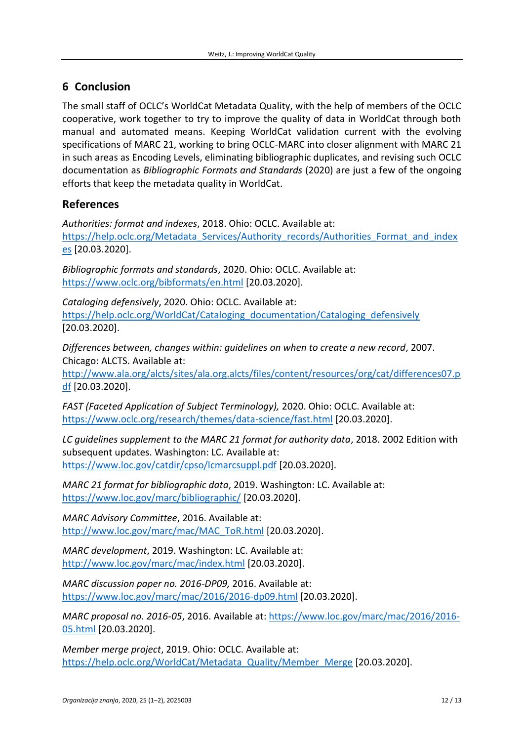## **6 Conclusion**

The small staff of OCLC's WorldCat Metadata Quality, with the help of members of the OCLC cooperative, work together to try to improve the quality of data in WorldCat through both manual and automated means. Keeping WorldCat validation current with the evolving specifications of MARC 21, working to bring OCLC-MARC into closer alignment with MARC 21 in such areas as Encoding Levels, eliminating bibliographic duplicates, and revising such OCLC documentation as *Bibliographic Formats and Standards* (2020) are just a few of the ongoing efforts that keep the metadata quality in WorldCat.

#### **References**

*Authorities: format and indexes*, 2018. Ohio: OCLC. Available at: [https://help.oclc.org/Metadata\\_Services/Authority\\_records/Authorities\\_Format\\_and\\_index](https://help.oclc.org/Metadata_Services/Authority_records/Authorities_Format_and_indexes) [es](https://help.oclc.org/Metadata_Services/Authority_records/Authorities_Format_and_indexes) [20.03.2020].

*Bibliographic formats and standards*, 2020. Ohio: OCLC. Available at: <https://www.oclc.org/bibformats/en.html> [20.03.2020].

*Cataloging defensively*, 2020. Ohio: OCLC. Available at: [https://help.oclc.org/WorldCat/Cataloging\\_documentation/Cataloging\\_defensively](https://help.oclc.org/WorldCat/Cataloging_documentation/Cataloging_defensively) [20.03.2020].

*Differences between, changes within: guidelines on when to create a new record*, 2007. Chicago: ALCTS. Available at:

[http://www.ala.org/alcts/sites/ala.org.alcts/files/content/resources/org/cat/differences07.p](http://www.ala.org/alcts/sites/ala.org.alcts/files/content/resources/org/cat/differences07.pdf) [df](http://www.ala.org/alcts/sites/ala.org.alcts/files/content/resources/org/cat/differences07.pdf) [20.03.2020].

*FAST (Faceted Application of Subject Terminology),* 2020. Ohio: OCLC. Available at: <https://www.oclc.org/research/themes/data-science/fast.html> [20.03.2020].

*LC guidelines supplement to the MARC 21 format for authority data*, 2018. 2002 Edition with subsequent updates. Washington: LC. Available at: <https://www.loc.gov/catdir/cpso/lcmarcsuppl.pdf> [20.03.2020].

*MARC 21 format for bibliographic data*, 2019. Washington: LC. Available at: <https://www.loc.gov/marc/bibliographic/> [20.03.2020].

*MARC Advisory Committee*, 2016. Available at: [http://www.loc.gov/marc/mac/MAC\\_ToR.html](http://www.loc.gov/marc/mac/MAC_ToR.html) [20.03.2020].

*MARC development*, 2019. Washington: LC. Available at: <http://www.loc.gov/marc/mac/index.html> [20.03.2020].

*MARC discussion paper no. 2016-DP09,* 2016. Available at: <https://www.loc.gov/marc/mac/2016/2016-dp09.html> [20.03.2020].

*MARC proposal no. 2016-05*, 2016. Available at: [https://www.loc.gov/marc/mac/2016/2016-](https://www.loc.gov/marc/mac/2016/2016-05.html) [05.html](https://www.loc.gov/marc/mac/2016/2016-05.html) [20.03.2020].

*Member merge project*, 2019. Ohio: OCLC. Available at: [https://help.oclc.org/WorldCat/Metadata\\_Quality/Member\\_Merge](https://help.oclc.org/WorldCat/Metadata_Quality/Member_Merge) [20.03.2020].